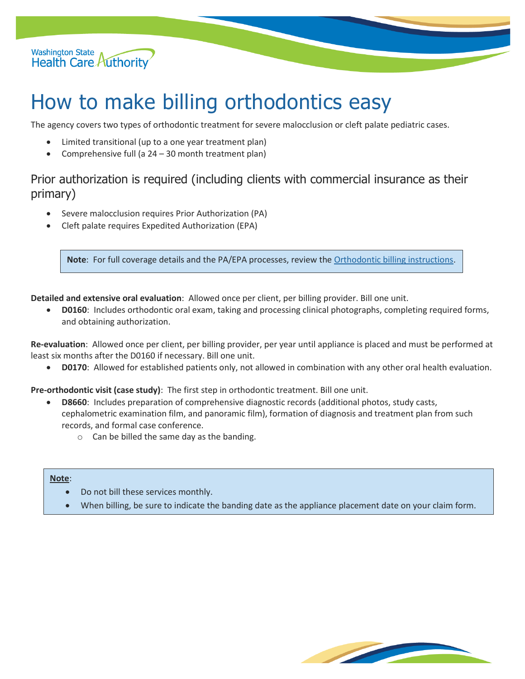

# How to make billing orthodontics easy

The agency covers two types of orthodontic treatment for severe malocclusion or cleft palate pediatric cases.

- Limited transitional (up to a one year treatment plan)
- Comprehensive full (a 24 30 month treatment plan)

### Prior authorization is required (including clients with commercial insurance as their primary)

- Severe malocclusion requires Prior Authorization (PA)
- Cleft palate requires Expedited Authorization (EPA)

**Note**: For full coverage details and the PA/EPA processes, review th[e Orthodontic billing instructions.](https://www.hca.wa.gov/billers-providers-partners/prior-authorization-claims-and-billing/provider-billing-guides-and-fee-schedules#o)

**Detailed and extensive oral evaluation**: Allowed once per client, per billing provider. Bill one unit.

• **D0160**: Includes orthodontic oral exam, taking and processing clinical photographs, completing required forms, and obtaining authorization.

**Re-evaluation**: Allowed once per client, per billing provider, per year until appliance is placed and must be performed at least six months after the D0160 if necessary. Bill one unit.

• **D0170**: Allowed for established patients only, not allowed in combination with any other oral health evaluation.

**Pre-orthodontic visit (case study)**: The first step in orthodontic treatment. Bill one unit.

- **D8660**: Includes preparation of comprehensive diagnostic records (additional photos, study casts, cephalometric examination film, and panoramic film), formation of diagnosis and treatment plan from such records, and formal case conference.
	- $\circ$  Can be billed the same day as the banding.

#### **Note**:

- Do not bill these services monthly.
- When billing, be sure to indicate the banding date as the appliance placement date on your claim form.

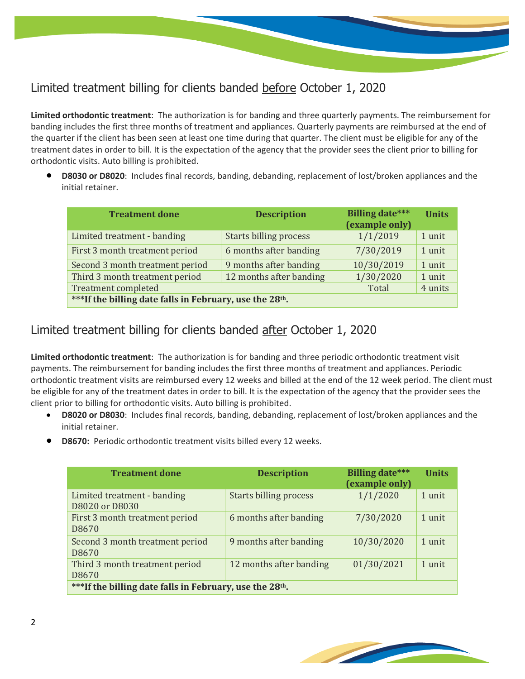# Limited treatment billing for clients banded before October 1, 2020

**Limited orthodontic treatment**: The authorization is for banding and three quarterly payments. The reimbursement for banding includes the first three months of treatment and appliances. Quarterly payments are reimbursed at the end of the quarter if the client has been seen at least one time during that quarter. The client must be eligible for any of the treatment dates in order to bill. It is the expectation of the agency that the provider sees the client prior to billing for orthodontic visits. Auto billing is prohibited.

• **D8030 or D8020**: Includes final records, banding, debanding, replacement of lost/broken appliances and the initial retainer.

| <b>Treatment done</b>                                                | <b>Description</b>            | <b>Billing date***</b><br>(example only) | <b>Units</b> |  |
|----------------------------------------------------------------------|-------------------------------|------------------------------------------|--------------|--|
| Limited treatment - banding                                          | <b>Starts billing process</b> | 1/1/2019                                 | 1 unit       |  |
| First 3 month treatment period                                       | 6 months after banding        | 7/30/2019                                | 1 unit       |  |
| Second 3 month treatment period                                      | 9 months after banding        | 10/30/2019                               | 1 unit       |  |
| Third 3 month treatment period                                       | 12 months after banding       | 1/30/2020                                | 1 unit       |  |
| <b>Treatment completed</b>                                           |                               | Total                                    | 4 units      |  |
| ***If the billing date falls in February, use the 28 <sup>th</sup> . |                               |                                          |              |  |

## Limited treatment billing for clients banded after October 1, 2020

**Limited orthodontic treatment**: The authorization is for banding and three periodic orthodontic treatment visit payments. The reimbursement for banding includes the first three months of treatment and appliances. Periodic orthodontic treatment visits are reimbursed every 12 weeks and billed at the end of the 12 week period. The client must be eligible for any of the treatment dates in order to bill. It is the expectation of the agency that the provider sees the client prior to billing for orthodontic visits. Auto billing is prohibited.

- **D8020 or D8030**: Includes final records, banding, debanding, replacement of lost/broken appliances and the initial retainer.
- **D8670:** Periodic orthodontic treatment visits billed every 12 weeks.

| <b>Treatment done</b>                                                | <b>Description</b>      | <b>Billing date***</b><br>(example only) | <b>Units</b> |  |
|----------------------------------------------------------------------|-------------------------|------------------------------------------|--------------|--|
| Limited treatment - banding<br>D8020 or D8030                        | Starts billing process  | 1/1/2020                                 | 1 unit       |  |
| First 3 month treatment period<br>D8670                              | 6 months after banding  | 7/30/2020                                | 1 unit       |  |
| Second 3 month treatment period<br>D8670                             | 9 months after banding  | 10/30/2020                               | 1 unit       |  |
| Third 3 month treatment period<br>D8670                              | 12 months after banding | 01/30/2021                               | 1 unit       |  |
| ***If the billing date falls in February, use the 28 <sup>th</sup> . |                         |                                          |              |  |

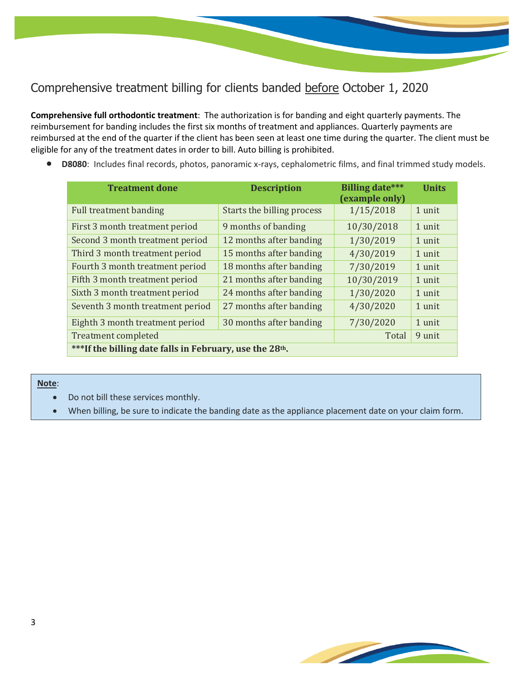## Comprehensive treatment billing for clients banded before October 1, 2020

**Comprehensive full orthodontic treatment**: The authorization is for banding and eight quarterly payments. The reimbursement for banding includes the first six months of treatment and appliances. Quarterly payments are reimbursed at the end of the quarter if the client has been seen at least one time during the quarter. The client must be eligible for any of the treatment dates in order to bill. Auto billing is prohibited.

• **D8080**: Includes final records, photos, panoramic x-rays, cephalometric films, and final trimmed study models.

| <b>Treatment done</b>                                                | <b>Description</b>         | <b>Billing date***</b><br>(example only) | <b>Units</b> |  |
|----------------------------------------------------------------------|----------------------------|------------------------------------------|--------------|--|
| <b>Full treatment banding</b>                                        | Starts the billing process | 1/15/2018                                | 1 unit       |  |
| First 3 month treatment period                                       | 9 months of banding        | 10/30/2018                               | 1 unit       |  |
| Second 3 month treatment period                                      | 12 months after banding    | 1/30/2019                                | 1 unit       |  |
| Third 3 month treatment period                                       | 15 months after banding    | 4/30/2019                                | 1 unit       |  |
| Fourth 3 month treatment period                                      | 18 months after banding    | 7/30/2019                                | 1 unit       |  |
| Fifth 3 month treatment period                                       | 21 months after banding    | 10/30/2019                               | 1 unit       |  |
| Sixth 3 month treatment period                                       | 24 months after banding    | 1/30/2020                                | 1 unit       |  |
| Seventh 3 month treatment period                                     | 27 months after banding    | 4/30/2020                                | 1 unit       |  |
| Eighth 3 month treatment period                                      | 30 months after banding    | 7/30/2020                                | 1 unit       |  |
| <b>Treatment completed</b>                                           |                            | Total                                    | 9 unit       |  |
| ***If the billing date falls in February, use the 28 <sup>th</sup> . |                            |                                          |              |  |

**Note**:

- Do not bill these services monthly.
- When billing, be sure to indicate the banding date as the appliance placement date on your claim form.